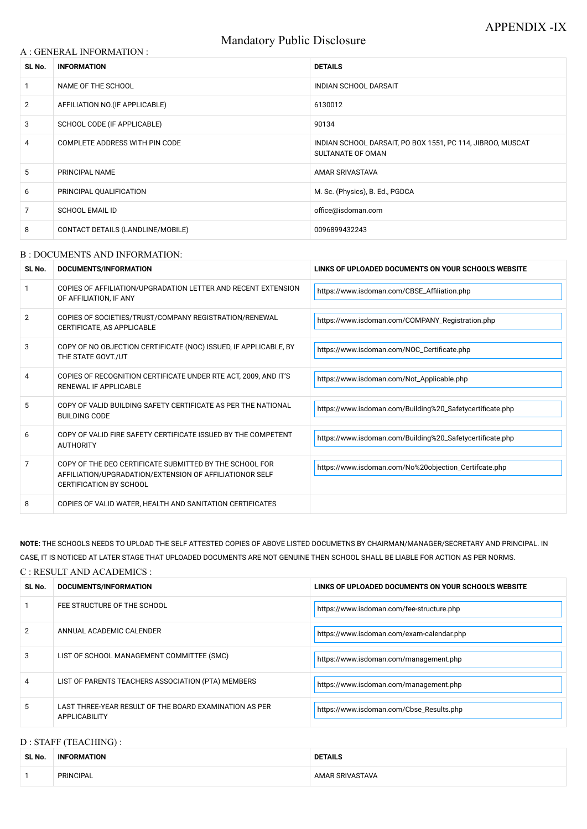# Mandatory Public Disclosure

## A : GENERAL INFORMATION :

| SL No.         | <b>INFORMATION</b>                | <b>DETAILS</b>                                                                  |  |
|----------------|-----------------------------------|---------------------------------------------------------------------------------|--|
|                | NAME OF THE SCHOOL                | <b>INDIAN SCHOOL DARSAIT</b>                                                    |  |
| $\overline{2}$ | AFFILIATION NO. (IF APPLICABLE)   | 6130012                                                                         |  |
| 3              | SCHOOL CODE (IF APPLICABLE)       | 90134                                                                           |  |
| 4              | COMPLETE ADDRESS WITH PIN CODE    | INDIAN SCHOOL DARSAIT, PO BOX 1551, PC 114, JIBROO, MUSCAT<br>SULTANATE OF OMAN |  |
| 5              | <b>PRINCIPAL NAME</b>             | <b>AMAR SRIVASTAVA</b>                                                          |  |
| 6              | PRINCIPAL QUALIFICATION           | M. Sc. (Physics), B. Ed., PGDCA                                                 |  |
| 7              | <b>SCHOOL EMAIL ID</b>            | office@isdoman.com                                                              |  |
| 8              | CONTACT DETAILS (LANDLINE/MOBILE) | 0096899432243                                                                   |  |

#### B : DOCUMENTS AND INFORMATION:

| SL No.         | DOCUMENTS/INFORMATION                                                                                                                                | LINKS OF UPLOADED DOCUMENTS ON YOUR SCHOOL'S WEBSITE      |  |
|----------------|------------------------------------------------------------------------------------------------------------------------------------------------------|-----------------------------------------------------------|--|
|                | COPIES OF AFFILIATION/UPGRADATION LETTER AND RECENT EXTENSION<br>OF AFFILIATION, IF ANY                                                              | https://www.isdoman.com/CBSE_Affiliation.php              |  |
| $\overline{2}$ | COPIES OF SOCIETIES/TRUST/COMPANY REGISTRATION/RENEWAL<br>CERTIFICATE, AS APPLICABLE                                                                 | https://www.isdoman.com/COMPANY_Registration.php          |  |
| 3              | COPY OF NO OBJECTION CERTIFICATE (NOC) ISSUED, IF APPLICABLE, BY<br>THE STATE GOVT./UT                                                               | https://www.isdoman.com/NOC_Certificate.php               |  |
| 4              | COPIES OF RECOGNITION CERTIFICATE UNDER RTE ACT, 2009, AND IT'S<br>RENEWAL IF APPLICABLE                                                             | https://www.isdoman.com/Not_Applicable.php                |  |
| 5              | COPY OF VALID BUILDING SAFETY CERTIFICATE AS PER THE NATIONAL<br><b>BUILDING CODE</b>                                                                | https://www.isdoman.com/Building%20_Safetycertificate.php |  |
| 6              | COPY OF VALID FIRE SAFETY CERTIFICATE ISSUED BY THE COMPETENT<br><b>AUTHORITY</b>                                                                    | https://www.isdoman.com/Building%20_Safetycertificate.php |  |
| 7              | COPY OF THE DEO CERTIFICATE SUBMITTED BY THE SCHOOL FOR<br>AFFILIATION/UPGRADATION/EXTENSION OF AFFILIATIONOR SELF<br><b>CERTIFICATION BY SCHOOL</b> | https://www.isdoman.com/No%20objection_Certifcate.php     |  |
| 8              | COPIES OF VALID WATER, HEALTH AND SANITATION CERTIFICATES                                                                                            |                                                           |  |

| 2              | ANNUAL ACADEMIC CALENDER                                                | https://www.isdoman.com/exam-calendar.php |
|----------------|-------------------------------------------------------------------------|-------------------------------------------|
| 3              | LIST OF SCHOOL MANAGEMENT COMMITTEE (SMC)                               | https://www.isdoman.com/management.php    |
| $\overline{4}$ | LIST OF PARENTS TEACHERS ASSOCIATION (PTA) MEMBERS                      | https://www.isdoman.com/management.php    |
| 5              | LAST THREE-YEAR RESULT OF THE BOARD EXAMINATION AS PER<br>APPLICABILITY | https://www.isdoman.com/Cbse_Results.php  |

**NOTE:** THE SCHOOLS NEEDS TO UPLOAD THE SELF ATTESTED COPIES OF ABOVE LISTED DOCUMETNS BY CHAIRMAN/MANAGER/SECRETARY AND PRINCIPAL. IN CASE, IT IS NOTICED AT LATER STAGE THAT UPLOADED DOCUMENTS ARE NOT GENUINE THEN SCHOOL SHALL BE LIABLE FOR ACTION AS PER NORMS. C : RESULT AND ACADEMICS :

| SL No. | DOCUMENTS/INFORMATION       | LINKS OF UPLOADED DOCUMENTS ON YOUR SCHOOL'S WEBSITE |
|--------|-----------------------------|------------------------------------------------------|
|        | FEE STRUCTURE OF THE SCHOOL | https://www.isdoman.com/fee-structure.php            |

## D : STAFF (TEACHING) :

| SL No. | <b>INFORMATION</b> | <b>DETAILS</b>  |  |
|--------|--------------------|-----------------|--|
|        | <b>PRINCIPAL</b>   | AMAR SRIVASTAVA |  |